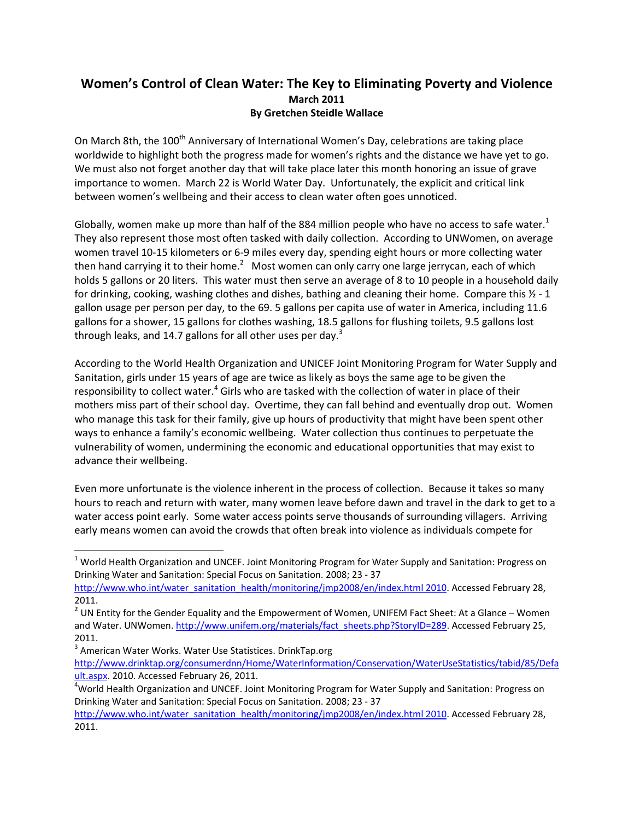### **Women's Control of Clean Water: The Key to Eliminating Poverty and Violence March 2011 By Gretchen Steidle Wallace**

On March 8th, the 100<sup>th</sup> Anniversary of International Women's Day, celebrations are taking place worldwide to highlight both the progress made for women's rights and the distance we have yet to go. We must also not forget another day that will take place later this month honoring an issue of grave importance to women. March 22 is World Water Day. Unfortunately, the explicit and critical link between women's wellbeing and their access to clean water often goes unnoticed.

Globally, women make up more than half of the 884 million people who have no access to safe water.<sup>1</sup> They also represent those most often tasked with daily collection. According to UNWomen, on average women travel 10‐15 kilometers or 6‐9 miles every day, spending eight hours or more collecting water then hand carrying it to their home.<sup>2</sup> Most women can only carry one large jerrycan, each of which holds 5 gallons or 20 liters. This water must then serve an average of 8 to 10 people in a household daily for drinking, cooking, washing clothes and dishes, bathing and cleaning their home. Compare this  $\frac{1}{2}$  - 1 gallon usage per person per day, to the 69. 5 gallons per capita use of water in America, including 11.6 gallons for a shower, 15 gallons for clothes washing, 18.5 gallons for flushing toilets, 9.5 gallons lost through leaks, and 14.7 gallons for all other uses per day.<sup>3</sup>

According to the World Health Organization and UNICEF Joint Monitoring Program for Water Supply and Sanitation, girls under 15 years of age are twice as likely as boys the same age to be given the responsibility to collect water.<sup>4</sup> Girls who are tasked with the collection of water in place of their mothers miss part of their school day. Overtime, they can fall behind and eventually drop out. Women who manage this task for their family, give up hours of productivity that might have been spent other ways to enhance a family's economic wellbeing. Water collection thus continues to perpetuate the vulnerability of women, undermining the economic and educational opportunities that may exist to advance their wellbeing.

Even more unfortunate is the violence inherent in the process of collection. Because it takes so many hours to reach and return with water, many women leave before dawn and travel in the dark to get to a water access point early. Some water access points serve thousands of surrounding villagers. Arriving early means women can avoid the crowds that often break into violence as individuals compete for

<sup>&</sup>lt;sup>1</sup> World Health Organization and UNCEF. Joint Monitoring Program for Water Supply and Sanitation: Progress on Drinking Water and Sanitation: Special Focus on Sanitation. 2008; 23 ‐ 37

http://www.who.int/water\_sanitation\_health/monitoring/jmp2008/en/index.html 2010. Accessed February 28, 2011.

**<sup>2</sup>** UN Entity for the Gender Equality and the Empowerment of Women, UNIFEM Fact Sheet: At a Glance – Women and Water. UNWomen. http://www.unifem.org/materials/fact\_sheets.php?StoryID=289. Accessed February 25, 2011.<br><sup>3</sup> American Water Works. Water Use Statistices. DrinkTap.org

http://www.drinktap.org/consumerdnn/Home/WaterInformation/Conservation/WaterUseStatistics/tabid/85/Defa ult.aspx. 2010. Accessed February 26, 2011.

<sup>&</sup>lt;sup>4</sup>World Health Organization and UNCEF. Joint Monitoring Program for Water Supply and Sanitation: Progress on Drinking Water and Sanitation: Special Focus on Sanitation. 2008; 23 ‐ 37

http://www.who.int/water\_sanitation\_health/monitoring/jmp2008/en/index.html 2010. Accessed February 28, 2011.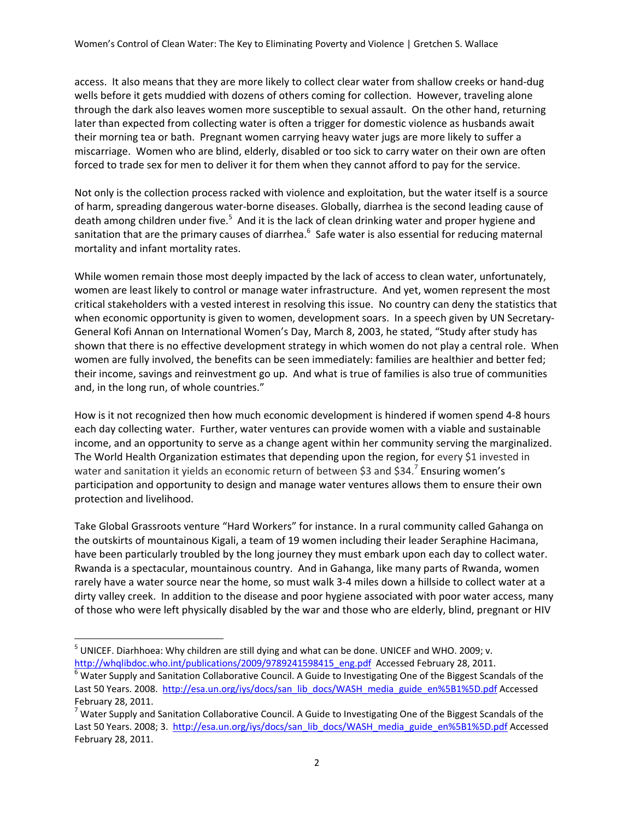access. It also means that they are more likely to collect clear water from shallow creeks or hand‐dug wells before it gets muddied with dozens of others coming for collection. However, traveling alone through the dark also leaves women more susceptible to sexual assault. On the other hand, returning later than expected from collecting water is often a trigger for domestic violence as husbands await their morning tea or bath. Pregnant women carrying heavy water jugs are more likely to suffer a miscarriage. Women who are blind, elderly, disabled or too sick to carry water on their own are often forced to trade sex for men to deliver it for them when they cannot afford to pay for the service.

Not only is the collection process racked with violence and exploitation, but the water itself is a source of harm, spreading dangerous water‐borne diseases. Globally, diarrhea is the second leading cause of death among children under five.<sup>5</sup> And it is the lack of clean drinking water and proper hygiene and sanitation that are the primary causes of diarrhea.<sup>6</sup> Safe water is also essential for reducing maternal mortality and infant mortality rates.

While women remain those most deeply impacted by the lack of access to clean water, unfortunately, women are least likely to control or manage water infrastructure. And yet, women represent the most critical stakeholders with a vested interest in resolving this issue. No country can deny the statistics that when economic opportunity is given to women, development soars. In a speech given by UN Secretary-General Kofi Annan on International Women's Day, March 8, 2003, he stated, "Study after study has shown that there is no effective development strategy in which women do not play a central role. When women are fully involved, the benefits can be seen immediately: families are healthier and better fed; their income, savings and reinvestment go up. And what is true of families is also true of communities and, in the long run, of whole countries."

How is it not recognized then how much economic development is hindered if women spend 4‐8 hours each day collecting water. Further, water ventures can provide women with a viable and sustainable income, and an opportunity to serve as a change agent within her community serving the marginalized. The World Health Organization estimates that depending upon the region, for every \$1 invested in water and sanitation it yields an economic return of between \$3 and \$34.<sup>7</sup> Ensuring women's participation and opportunity to design and manage water ventures allows them to ensure their own protection and livelihood.

Take Global Grassroots venture "Hard Workers" for instance. In a rural community called Gahanga on the outskirts of mountainous Kigali, a team of 19 women including their leader Seraphine Hacimana, have been particularly troubled by the long journey they must embark upon each day to collect water. Rwanda is a spectacular, mountainous country. And in Gahanga, like many parts of Rwanda, women rarely have a water source near the home, so must walk 3-4 miles down a hillside to collect water at a dirty valley creek. In addition to the disease and poor hygiene associated with poor water access, many of those who were left physically disabled by the war and those who are elderly, blind, pregnant or HIV

 <sup>5</sup> UNICEF. Diarhhoea: Why children are still dying and what can be done. UNICEF and WHO. 2009; v.

http://whqlibdoc.who.int/publications/2009/9789241598415\_eng.pdf Accessed February 28, 2011. 6 Water Supply and Sanitation Collaborative Council. A Guide to Investigating One of the Biggest Scandals of the Last 50 Years. 2008. http://esa.un.org/iys/docs/san\_lib\_docs/WASH\_media\_guide\_en%5B1%5D.pdf Accessed

February 28, 2011.<br><sup>7</sup> Water Supply and Sanitation Collaborative Council. A Guide to Investigating One of the Biggest Scandals of the Last 50 Years. 2008; 3. http://esa.un.org/iys/docs/san\_lib\_docs/WASH\_media\_guide\_en%5B1%5D.pdf Accessed February 28, 2011.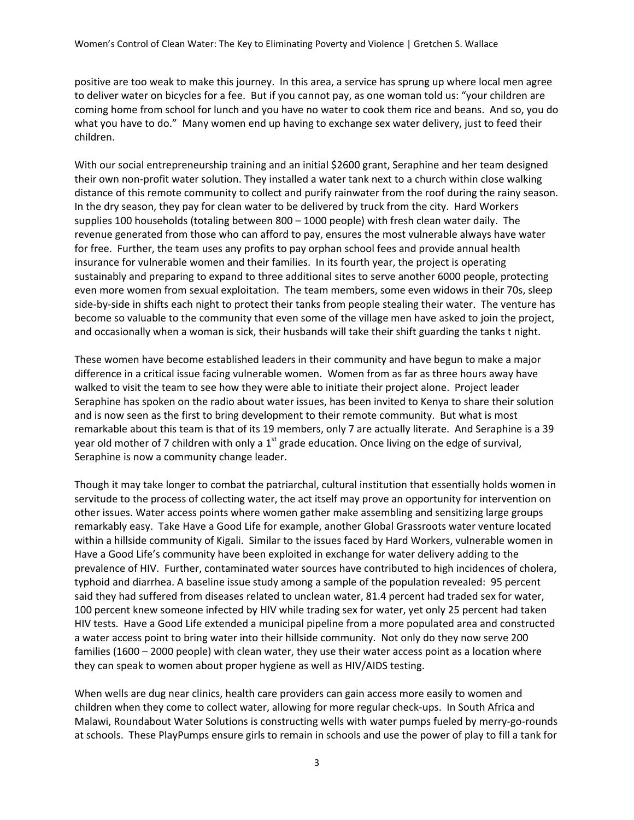positive are too weak to make this journey. In this area, a service has sprung up where local men agree to deliver water on bicycles for a fee. But if you cannot pay, as one woman told us: "your children are coming home from school for lunch and you have no water to cook them rice and beans. And so, you do what you have to do." Many women end up having to exchange sex water delivery, just to feed their children.

With our social entrepreneurship training and an initial \$2600 grant, Seraphine and her team designed their own non‐profit water solution. They installed a water tank next to a church within close walking distance of this remote community to collect and purify rainwater from the roof during the rainy season. In the dry season, they pay for clean water to be delivered by truck from the city. Hard Workers supplies 100 households (totaling between 800 – 1000 people) with fresh clean water daily. The revenue generated from those who can afford to pay, ensures the most vulnerable always have water for free. Further, the team uses any profits to pay orphan school fees and provide annual health insurance for vulnerable women and their families. In its fourth year, the project is operating sustainably and preparing to expand to three additional sites to serve another 6000 people, protecting even more women from sexual exploitation. The team members, some even widows in their 70s, sleep side-by-side in shifts each night to protect their tanks from people stealing their water. The venture has become so valuable to the community that even some of the village men have asked to join the project, and occasionally when a woman is sick, their husbands will take their shift guarding the tanks t night.

These women have become established leaders in their community and have begun to make a major difference in a critical issue facing vulnerable women. Women from as far as three hours away have walked to visit the team to see how they were able to initiate their project alone. Project leader Seraphine has spoken on the radio about water issues, has been invited to Kenya to share their solution and is now seen as the first to bring development to their remote community. But what is most remarkable about this team is that of its 19 members, only 7 are actually literate. And Seraphine is a 39 year old mother of 7 children with only a  $1<sup>st</sup>$  grade education. Once living on the edge of survival, Seraphine is now a community change leader.

Though it may take longer to combat the patriarchal, cultural institution that essentially holds women in servitude to the process of collecting water, the act itself may prove an opportunity for intervention on other issues. Water access points where women gather make assembling and sensitizing large groups remarkably easy. Take Have a Good Life for example, another Global Grassroots water venture located within a hillside community of Kigali. Similar to the issues faced by Hard Workers, vulnerable women in Have a Good Life's community have been exploited in exchange for water delivery adding to the prevalence of HIV. Further, contaminated water sources have contributed to high incidences of cholera, typhoid and diarrhea. A baseline issue study among a sample of the population revealed: 95 percent said they had suffered from diseases related to unclean water, 81.4 percent had traded sex for water, 100 percent knew someone infected by HIV while trading sex for water, yet only 25 percent had taken HIV tests. Have a Good Life extended a municipal pipeline from a more populated area and constructed a water access point to bring water into their hillside community. Not only do they now serve 200 families (1600 – 2000 people) with clean water, they use their water access point as a location where they can speak to women about proper hygiene as well as HIV/AIDS testing.

When wells are dug near clinics, health care providers can gain access more easily to women and children when they come to collect water, allowing for more regular check-ups. In South Africa and Malawi, Roundabout Water Solutions is constructing wells with water pumps fueled by merry‐go‐rounds at schools. These PlayPumps ensure girls to remain in schools and use the power of play to fill a tank for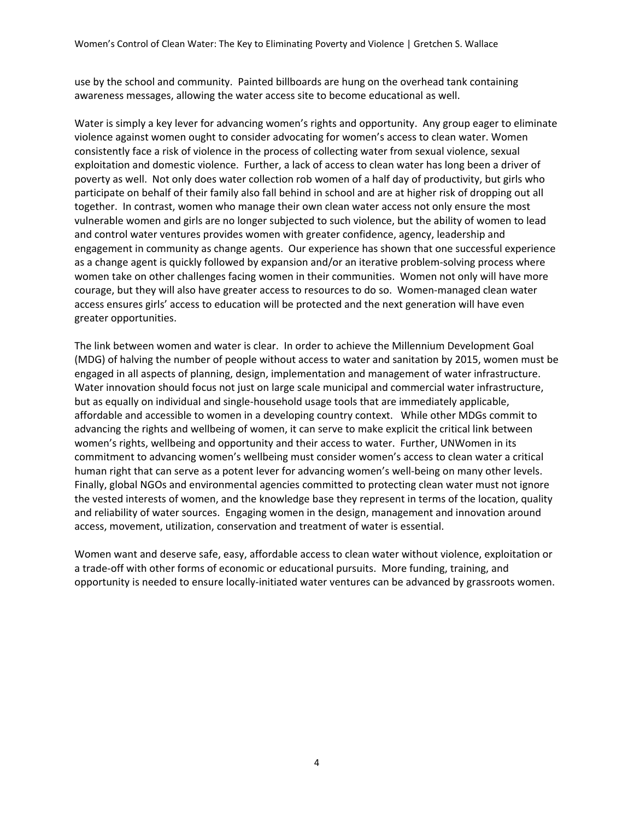use by the school and community. Painted billboards are hung on the overhead tank containing awareness messages, allowing the water access site to become educational as well.

Water is simply a key lever for advancing women's rights and opportunity. Any group eager to eliminate violence against women ought to consider advocating for women's access to clean water. Women consistently face a risk of violence in the process of collecting water from sexual violence, sexual exploitation and domestic violence. Further, a lack of access to clean water has long been a driver of poverty as well. Not only does water collection rob women of a half day of productivity, but girls who participate on behalf of their family also fall behind in school and are at higher risk of dropping out all together. In contrast, women who manage their own clean water access not only ensure the most vulnerable women and girls are no longer subjected to such violence, but the ability of women to lead and control water ventures provides women with greater confidence, agency, leadership and engagement in community as change agents. Our experience has shown that one successful experience as a change agent is quickly followed by expansion and/or an iterative problem‐solving process where women take on other challenges facing women in their communities. Women not only will have more courage, but they will also have greater access to resources to do so. Women-managed clean water access ensures girls' access to education will be protected and the next generation will have even greater opportunities.

The link between women and water is clear. In order to achieve the Millennium Development Goal (MDG) of halving the number of people without access to water and sanitation by 2015, women must be engaged in all aspects of planning, design, implementation and management of water infrastructure. Water innovation should focus not just on large scale municipal and commercial water infrastructure, but as equally on individual and single‐household usage tools that are immediately applicable, affordable and accessible to women in a developing country context. While other MDGs commit to advancing the rights and wellbeing of women, it can serve to make explicit the critical link between women's rights, wellbeing and opportunity and their access to water. Further, UNWomen in its commitment to advancing women's wellbeing must consider women's access to clean water a critical human right that can serve as a potent lever for advancing women's well‐being on many other levels. Finally, global NGOs and environmental agencies committed to protecting clean water must not ignore the vested interests of women, and the knowledge base they represent in terms of the location, quality and reliability of water sources. Engaging women in the design, management and innovation around access, movement, utilization, conservation and treatment of water is essential.

Women want and deserve safe, easy, affordable access to clean water without violence, exploitation or a trade‐off with other forms of economic or educational pursuits. More funding, training, and opportunity is needed to ensure locally‐initiated water ventures can be advanced by grassroots women.